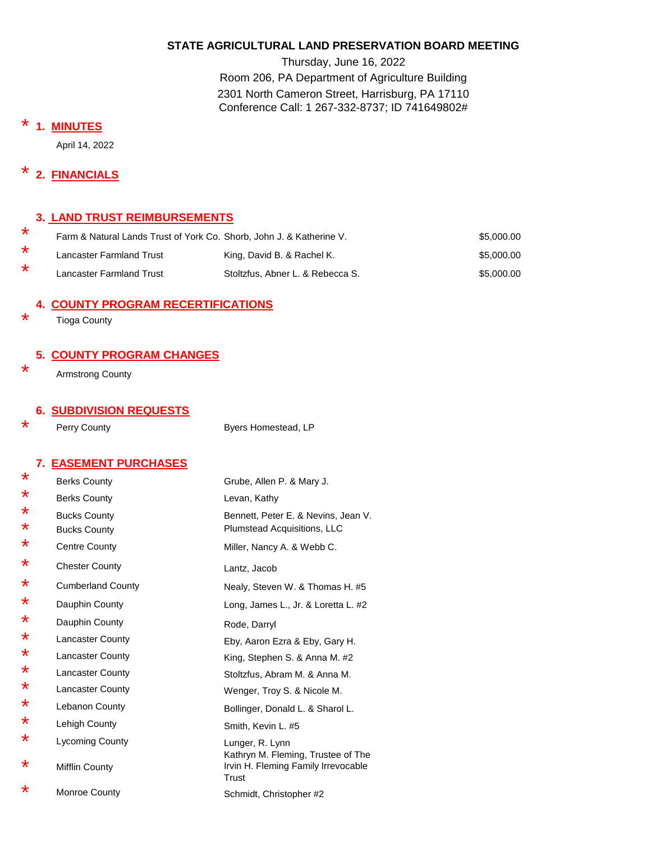### **STATE AGRICULTURAL LAND PRESERVATION BOARD MEETING**

Thursday, June 16, 2022 Room 206, PA Department of Agriculture Building 2301 North Cameron Street, Harrisburg, PA 17110 Conference Call: 1 267-332-8737; ID 741649802#

# \* **1. MINUTES**

April 14, 2022

#### \* **2. FINANCIALS**

### **3. LAND TRUST REIMBURSEMENTS**

| Farm & Natural Lands Trust of York Co. Shorb, John J. & Katherine V. |                                  | \$5,000.00 |
|----------------------------------------------------------------------|----------------------------------|------------|
| <b>Lancaster Farmland Trust</b>                                      | King, David B. & Rachel K.       | \$5,000.00 |
| <b>Lancaster Farmland Trust</b>                                      | Stoltzfus, Abner L. & Rebecca S. | \$5,000.00 |

#### **4. COUNTY PROGRAM RECERTIFICATIONS**

\* Tioga County

### **5. COUNTY PROGRAM CHANGES**

Armstrong County

#### **6. SUBDIVISION REQUESTS**

\*

\* Perry County **Byers Homestead, LP** 

### **7. EASEMENT PURCHASES**

| $\star$ | <b>Berks County</b>                        | Grube, Allen P. & Mary J.                                                          |
|---------|--------------------------------------------|------------------------------------------------------------------------------------|
| *       | <b>Berks County</b>                        | Levan, Kathy                                                                       |
| *<br>*  | <b>Bucks County</b><br><b>Bucks County</b> | Bennett, Peter E. & Nevins, Jean V.<br><b>Plumstead Acquisitions, LLC</b>          |
| *       | Centre County                              | Miller, Nancy A. & Webb C.                                                         |
| *       | <b>Chester County</b>                      | Lantz, Jacob                                                                       |
| *       | <b>Cumberland County</b>                   | Nealy, Steven W. & Thomas H. #5                                                    |
| *       | Dauphin County                             | Long, James L., Jr. & Loretta L. #2                                                |
| *       | Dauphin County                             | Rode, Darryl                                                                       |
| *       | <b>Lancaster County</b>                    | Eby, Aaron Ezra & Eby, Gary H.                                                     |
| *       | <b>Lancaster County</b>                    | King, Stephen S. & Anna M. #2                                                      |
| *       | <b>Lancaster County</b>                    | Stoltzfus, Abram M. & Anna M.                                                      |
| *       | <b>Lancaster County</b>                    | Wenger, Troy S. & Nicole M.                                                        |
| *       | Lebanon County                             | Bollinger, Donald L. & Sharol L.                                                   |
| *       | Lehigh County                              | Smith, Kevin L. #5                                                                 |
| *       | Lycoming County                            | Lunger, R. Lynn                                                                    |
| *       | <b>Mifflin County</b>                      | Kathryn M. Fleming, Trustee of The<br>Irvin H. Fleming Family Irrevocable<br>Trust |
| *       | Monroe County                              | Schmidt, Christopher #2                                                            |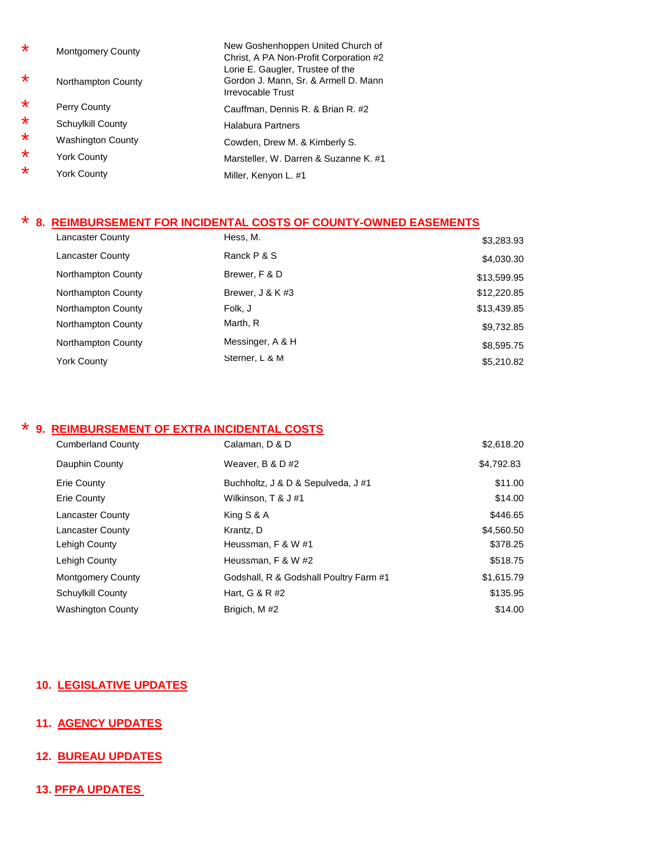| $\star$ | <b>Montgomery County</b> | New Goshenhoppen United Church of<br>Christ, A PA Non-Profit Corporation #2                   |
|---------|--------------------------|-----------------------------------------------------------------------------------------------|
| $\star$ | Northampton County       | Lorie E. Gaugler, Trustee of the<br>Gordon J. Mann, Sr. & Armell D. Mann<br>Irrevocable Trust |
| $\star$ | Perry County             | Cauffman, Dennis R. & Brian R. #2                                                             |
| $\star$ | Schuylkill County        | <b>Halabura Partners</b>                                                                      |
| $\star$ | <b>Washington County</b> | Cowden, Drew M. & Kimberly S.                                                                 |
| $\star$ | <b>York County</b>       | Marsteller, W. Darren & Suzanne K. #1                                                         |
| $\star$ | <b>York County</b>       | Miller, Kenyon L. #1                                                                          |

# \* **8. REIMBURSEMENT FOR INCIDENTAL COSTS OF COUNTY-OWNED EASEMENTS**

| Lancaster County   | Hess, M.         | \$3,283.93  |
|--------------------|------------------|-------------|
| Lancaster County   | Ranck P & S      | \$4,030.30  |
| Northampton County | Brewer, F & D    | \$13,599.95 |
| Northampton County | Brewer, J & K #3 | \$12,220.85 |
| Northampton County | Folk, J          | \$13,439.85 |
| Northampton County | Marth, R         | \$9,732.85  |
| Northampton County | Messinger, A & H | \$8,595.75  |
| York County        | Sterner, L & M   | \$5,210.82  |

# \* **9. REIMBURSEMENT OF EXTRA INCIDENTAL COSTS**

| <b>Cumberland County</b> | Calaman, D & D                         | \$2,618.20 |
|--------------------------|----------------------------------------|------------|
| Dauphin County           | Weaver, B & D #2                       | \$4,792.83 |
| Erie County              | Buchholtz, J & D & Sepulveda, J #1     | \$11.00    |
| Erie County              | Wilkinson, T & J #1                    | \$14.00    |
| <b>Lancaster County</b>  | King S & A                             | \$446.65   |
| Lancaster County         | Krantz, D                              | \$4,560.50 |
| Lehigh County            | Heussman, F & W #1                     | \$378.25   |
| Lehigh County            | Heussman, F & W #2                     | \$518.75   |
| <b>Montgomery County</b> | Godshall, R & Godshall Poultry Farm #1 | \$1,615.79 |
| Schuylkill County        | Hart, G & R #2                         | \$135.95   |
| <b>Washington County</b> | Brigich, M#2                           | \$14.00    |

## **10. LEGISLATIVE UPDATES**

### **11. AGENCY UPDATES**

# **12. BUREAU UPDATES**

**13. PFPA UPDATES**